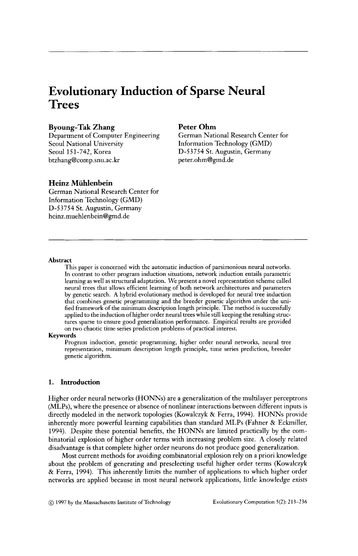# **Evolutionary Induction of Sparse Neural Trees**

## **Byoung-Tak Zhang Peter Ohm**

Department of Computer Engineering Seoul National University Seoul 151-742, Korea btzhang@comp.snu.ac.kr peter.ohm@gmd.de

German National Research Center for Information Technology (GMD) D-53754 St. Augustin, Germany

## **Heinz Miihlenbein**

German National Research Center for Information Technology (GMD) D-53754 St. Augustin, Germany heinz.muehlenbein@gmd.de

#### Abstract

This paper is concerned with the automatic induction of parsimonious neural networks. In contrast to other program induction situations, network induction entails parametric learning as well as structural adaptation. We present a novel representation scheme called neural trees that allows efficient learning of both network architectures and parameters by genetic search. **A** hybrid evolutionary method is developed for neural tree induction that combines genetic programming and the breeder genetic algorithm under the unified framework of the minimum description length principle. The method is successfully applied to the induction of higher order neural trees while still keeping the resulting structures sparse to ensure good generalization performance. Empirical results are provided on two chaotic time series prediction problems of practical interest.

#### **Keywords**

Program induction, genetic programming, higher order neural networks, neural tree representation, minimum description length principle, time series prediction, breeder genetic algorithm.

#### **1. Introduction**

Higher order neural networks **(HONNs)** are a generalization of the multilayer perceptrons (MLPs), where the presence or absence of nonlinear interactions between different inputs is directly modeled in the network topologies (Kowalczyk & Ferra, 1994). HONNs provide inherently more powerful learning capabilities than standard MLPs (Fahner & Eckmiller, 1994). Despite these potential benefits, the HONNs are limited practically by the combinatorial explosion of higher order terms with increasing problem size. **A** closely related disadvantage **is** that complete higher order neurons do not produce good generalization.

Most current methods for avoiding combinatorial explosion rely on a priori knowledge about the problem of generating and preselecting useful higher order terms (Kowalczyk & Ferra, 1994). This inherently limits the number of applications to which higher order networks are applied because in most neural network applications, little knowledge exists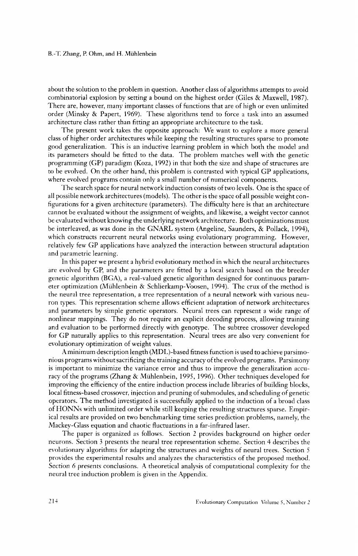#### B.-T. Zhang, P. Ohm, and H. Mühlenbein

about the solution to the problem in question. Another class of algorithms attempts to avoid combinatorial explosion by setting a bound on the highest order (Giles & Maxwell, 1987). There are, however, many important classes of functions that are of high or even unlimited order (Minsky & Papert, 1969). These algorithms tend to force a task into an assumed architecture class rather than fitting an appropriate architecture to the task.

The present work takes the opposite approach: We want to explore a more general class of higher order architectures while keeping the resulting structures sparse to promote good generalization. This is an inductive learning problem in which both the model and its parameters should be fitted to the data. The problem matches well with the genetic programming (GP) paradigm (Koza, 1992) in that both the size and shape of structures are to be evolved. On the other hand, this problem is contrasted with typical GP applications, where evolved programs contain only a small number of numerical components.

The search space for neural network induction consists of two levels. One is the space of all possible network architectures (models). The other is the space of all possible weight configurations for a given architecture (parameters). The difficulty here is that an architecture cannot be evaluated without the assignment of weights, and likewise, a weight vector cannot be evaluated without knowing the underlying networkarchitecture. Both optimizations must be interleaved, as was done in the GNARL system (Angeline, Saunders, & Pollack, 1994), which constructs recurrent neural networks using evolutionary programming. However, relatively few GP applications have analyzed the interaction between structural adaptation and parametric learning.

In this paper we present a hybrid evolutionary method in which the neural architectures are evolved by GP, and the parameters are fitted by a local search based on the breeder genetic algorithm (BGA), a real-valued genetic algorithm designed for continuous parameter optimization (Miihlenbein & Schlierkamp-Voosen, 1994). The crux of the method is the neural tree representation, a tree representation of a neural network with various neuron types. This representation scheme allows efficient adaptation of network architectures and parameters by simple genetic operators. Neural trees can represent a wide range of nonlinear mappings. They do not require an explicit decoding process, allowing training and evaluation to be performed directly with genotype. The subtree crossover developed for GP naturally applies to this representation. Neural trees are also very convenient for evolutionary optimization of weight values.

**A** minimum description length (MDL)-based fitness function is used to achieve parsimonious programs without sacrificing the training accuracy of the evolved programs. Parsimony is important to minimize the variance error and thus to improve the generalization accuracy of the programs (Zhang & Miihlenbein, 1995, 1996). Other techniques developed for improving the efficiency of the entire induction process include libraries of building blocks, local fitness-based crossover, injection and pruning of submodules, and scheduling of genetic operators. The method investigated is successfully applied to the induction of a broad class of HONNs with unlimited order while still keeping the resulting structures sparse. Empirical results are provided on two benchmarking time series prediction problems, namely, the Mackey-Glass equation and chaotic fluctuations in a far-infrared laser.

The paper is organized as follows. Section 2 provides background on higher order neurons. Section *3* presents the neural tree representation scheme. Section 4 describes the evolutionary algorithms for adapting the structures and weights of neural trees. Section 5 provides the experimental results and analyzes the characteristics of the proposed method. Section 6 presents conclusions. **A** theoretical analysis of computational complexity for the neural tree induction problem is given in the Appendix.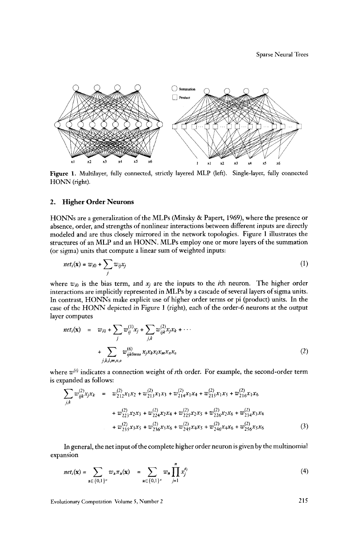

**Figure 1.** Multilayer, fully connected, strictly layered MLP (left). Single-layer, fully connected **HONN** (right).

#### **2. Higher Order Neurons**

**HONNs** are a generalization of the MLPs (Minsky & Papert, 1969), where the presence or absence, order, and strengths of nonlinear interactions between different inputs are directly modeled and are thus closely mirrored in the network topologies. Figure 1 illustrates the structures of an MLP and an HONN. MLPs employ one or more layers **of** the summation (or sigma) units that compute a linear sum of weighted inputs:

$$
net_i(\mathbf{x}) = w_{i0} + \sum_j w_{ij} x_j \tag{1}
$$

where  $w_{i0}$  is the bias term, and  $x_i$  are the inputs to the *i*th neuron. The higher order interactions are implicitly represented in MLPs by a cascade of several layers of sigma units. In contrast, HONNs make explicit use of higher order terms or pi (product) units. In the case of the HOW depicted in Figure 1 (right), each of the order-6 neurons at the output layer computes

$$
net_i(\mathbf{x}) = w_{i0} + \sum_{j} w_{ij}^{(1)} x_j + \sum_{j,k} w_{ijk}^{(2)} x_j x_k + \cdots + \sum_{j,k,l,m,n,o} w_{ijklmn}^{(6)} x_j x_k x_l x_m x_n x_o
$$
 (2)

where  $w^{(s)}$  indicates a connection weight of sth order. For example, the second-order term is expanded as follows:

$$
\sum_{j,k} w_{ijk}^{(2)} x_j x_k = w_{212}^{(2)} x_1 x_2 + w_{213}^{(2)} x_1 x_3 + w_{214}^{(2)} x_1 x_4 + w_{215}^{(2)} x_1 x_5 + w_{216}^{(2)} x_1 x_6
$$
  
+  $w_{223}^{(2)} x_2 x_3 + w_{224}^{(2)} x_2 x_4 + w_{225}^{(2)} x_2 x_5 + w_{226}^{(2)} x_2 x_6 + w_{234}^{(2)} x_3 x_4$   
+  $w_{235}^{(2)} x_3 x_5 + w_{236}^{(2)} x_3 x_6 + w_{245}^{(2)} x_4 x_5 + w_{246}^{(2)} x_4 x_6 + w_{256}^{(2)} x_5 x_6$  (3)

In general, the net input of the complete higher order neuron is given by the multinomial expansion

$$
net_i(\mathbf{x}) = \sum_{\mathbf{a} \in \{0,1\}^n} w_{\mathbf{a}} \pi_{\mathbf{a}}(\mathbf{x}) = \sum_{\mathbf{a} \in \{0,1\}^n} w_{\mathbf{a}} \prod_{j=1}^n x_j^{a_j}
$$
(4)

**Evolutionary Computation** Volume 5, Number 2 215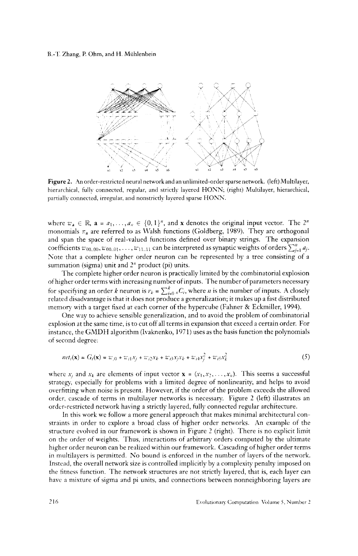

**Figure 2.** An order-restricted neural network and an unlimited-order sparse network. (left) Multilayer, hierarchical, fully connected, regular, and strictly layered HONN; (right) Multilayer, hierarchical, partially connected, irregular, and nonstrictly layered sparse HONN.

where  $x_a \in \mathbb{R}$ ,  $a = a_1, \ldots, a_n \in \{0, 1\}^n$ , and **x** denotes the original input vector. The  $2^n$ monomials  $\pi_a$  are referred to as Walsh functions (Goldberg, 1989). They are orthogonal and span the space of real-valued functions defined over binary strings. The expansion coefficients  $w_{00..00}, w_{00..01}, \ldots, w_{11..11}$  can be interpreted as synaptic weights of orders  $\sum_{i=1}^{n} a_i$ . Note that a complete higher order neuron can be represented by a tree consisting of a summation (sigma) unit and *2''* product (pi) units.

The complete higher order neuron is practically limited by the combinatorial explosion ofhigher order terms with increasing number of inputs. The number of parameters necessary for specifying an order *k* neuron is  $r_k = \sum_{i=0}^k {}_nC_i$ , where *n* is the number of inputs. A closely related disadvantage is that it does not produce a generalization; it makes up a fast distributed memory with a target fixed at each corner of the hypercube (Fahner & Eckmiller, 1994).

One way to achieve sensible generalization, and to avoid the problem of combinatorial explosion at the same time, is to cut off all terms in expansion that exceed a certain order. For instance, the GMDH algorithm (Ivaknenko, 197 1) uses as the basis function the polynomials of second degree:

$$
net_i(\mathbf{x}) = G_i(\mathbf{x}) = w_{i,0} + w_{i1}x_i + w_{i2}x_k + w_{i3}x_ix_k + w_{i4}x_i^2 + w_{i5}x_k^2
$$
\n(5)

where  $x_i$  and  $x_k$  are elements of input vector  $\mathbf{x} = (x_1, x_2, \dots, x_n)$ . This seems a successful strategy, especially for problems with a limited degree of nonlinearity, and helps to avoid overfitting when noise is present. However, if the order of the problem exceeds the allowed order. cascade of terms in multilayer networks is necessary. Figure *2* (left) illustrates an order-restricted network having a strictly layered, fully connected regular architecture.

In this work we follow a more general approach that makes minimal architectural constraints in order to explore a broad class of higher order networks. An example of the structure evolved in our framework is shown in Figure 2 (right). There is no explicit limit on the order of weights. Thus, interactions of arbitrary orders computed by the ultimate higher order neuron can be realized within our framework. Cascading of higher order term in multilayers is permitted. No bound is enforced in the number of layers of the network. Instead, the overall network size is controlled implicitly by a complexity penalty imposed on the fitness function. The nenvork structures are not strictly layered, that is, each layer can have a mixture of sigma and pi units, and connections between nonneighboring layers are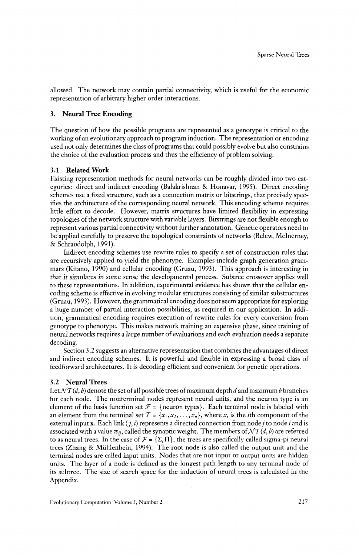allowed. The network may contain partial connectivity, which is useful for the economic representation of arbitrary higher order interactions.

### **3. Neural Tree Encoding**

The question of how the possible programs are represented as a genotype is critical to the working of an evolutionary approach to program induction. The representation or encoding used not only determines the class of programs that could possibly evolve but also constrains the choice of the evaluation process and thus the efficiency of problem solving.

#### **3.1 Related Work**

Existing representation methods for neural networks can be roughly divided into two categories: direct and indirect encoding (Balakrishnan & Honavar, 1995). Direct encoding schemes use a fixed structure, such as a connection matrix or bitstrings, that precisely specifies the architecture of the corresponding neural network. This encoding scheme requires little effort to decode. However, matrix structures have limited flexibility in expressing topologies of the network structure with variable layers. Bitstrings are not flexible enough to represent various partial connectivity without further annotation. Genetic operators need to be applied carefully to preserve the topological constraints of networks (Belew, McInerney, & Schraudolph, 1991).

Indirect encoding schemes use rewrite rules to specify a set of construction rules that are recursively applied to yield the phenotype. Examples include graph generation grammars (Kitano, 1990) and cellular encoding (Gruau, 1993). This approach is interesting in that it simulates in some sense the developmental process. Subtree crossover applies well to these representations. In addition, experimental evidence has shown that the cellular encoding scheme is effective in evolving modular structures consisting of similar substructures (Gruau, 1993). However, the grammatical encoding does not seem appropriate for exploring a huge number of partial interaction possibilities, as required in our application. In addition, grammatical encoding requires execution of rewrite rules for every conversion from genotype to phenotype. This makes network training an expensive phase, since training of neural networks requires a large number of evaluations and each evaluation needs a separate decoding.

Section *3.2* suggests an alternative representation that combines the advantages of direct and indirect encoding schemes. It is powerful and flexible in expressing a broad class of feedforward architectures. It is decoding efficient and convenient for genetic operations.

#### **3.2 Neural Trees**

Let  $\mathcal{NT}(d, b)$  denote the set of all possible trees of maximum depth *d* and maximum *b* branches for each node. The nonterminal nodes represent neural units, and the neuron type is an element of the basis function set  $\mathcal{F} = \{$  neuron types $\}$ . Each terminal node is labeled with an element from the terminal set  $\mathcal{T} = \{x_1, x_2, \ldots, x_n\}$ , where  $x_i$  is the *i*th component of the external input  $x$ . Each link  $(j, i)$  represents a directed connection from node  $j$  to node  $i$  and is associated with a value  $w_{ij}$ , called the synaptic weight. The members of  $\mathcal{NT}(d, b)$  are referred to as neural trees. In the case of  $\mathcal{F} = {\Sigma, \Pi}$ , the trees are specifically called sigma-pi neural trees (Zhang & Miihlenbein, 1994). The root node is also called the output unit and the terminal nodes are called input units. Nodes that are not input or output units are hidden units. The layer of a node is defined as the longest path length to any terminal node of its subtree. The size of search space for the induction of neural trees is calculated in the Appendix.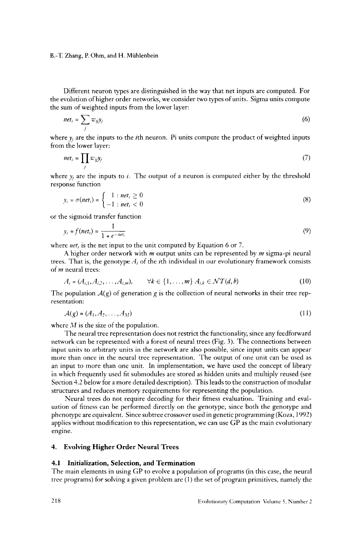B.-T Zhang, **P.** Ohm, and H. Miihlenbein

Different neuron types are distinguished in the way that net inputs are computed. For the evolution of higher order networks, we consider two types of units. Sigma units compute the sum of weighted inputs from the lower layer:

$$
net_i = \sum_j w_{ij} y_j \tag{6}
$$

where  $y_i$  are the inputs to the *i*th neuron. Pi units compute the product of weighted inputs from the lower layer:

$$
net_i = \prod_j w_{ij} y_j \tag{7}
$$

where  $y_i$  are the inputs to *i*. The output of a neuron is computed either by the threshold response function

$$
y_i = \sigma(net_i) = \begin{cases} 1 : net_i \ge 0 \\ -1 : net_i < 0 \end{cases}
$$
 (8)

or the sigmoid transfer function

$$
y_i = f(net_i) = \frac{1}{1 + e^{-net_i}}\tag{9}
$$

where *net,* is the net input to the unit computed by Equation **6** or 7.

**A** higher order network with *m* output units can be represented by *m* sigma-pi neural trees. That is, the genotype  $A_i$  of the *i*th individual in our evolutionary framework consists of *m* neural trees:

$$
A_i = (A_{i,1}, A_{i,2}, \dots, A_{i,m}), \qquad \forall k \in \{1, \dots, m\} \ A_{i,k} \in \mathcal{NT}(d, b)
$$
 (10)

The population  $A(g)$  of generation g is the collection of neural networks in their tree representation:

$$
\mathcal{A}(g) = (A_1, A_2, \dots, A_M) \tag{11}
$$

where  $M$  is the size of the population.

The neural tree representation does not restrict the functionality, since any feedforward network can be represented with a forest of neural trees (Fig. *3).* The connections between input units to arbitrary units in the network are also possible, since input units can appear more than once in the neural tree representation. The output of one unit can be used as an input to more than one unit. In implementation, we have used the concept of library in which frequently used fit submodules are stored as hidden units and multiply reused (see Section 4.2 below for a more detailed description). This leads to the construction of modular structures and reduces memory requirements for representing the population.

Neural trees do not require decoding for their fimess evaluation. Training and evaluation of fitness can be performed directly on the genotype, since both the genotype and phenotype are equivalent. Since subtree crossover used in genetic programming (Koza, 1992) applies without modification to this representation, we can use GP as the main evolutionary engine.

#### **4. Evolving Higher Order Neural Trees**

#### **4.1 Initialization, Selection, and Termination**

The main elements in using GP to evolve a population of programs (in this case, the neural tree programs) for solving a given problem are (1) the set of program primitives, namely the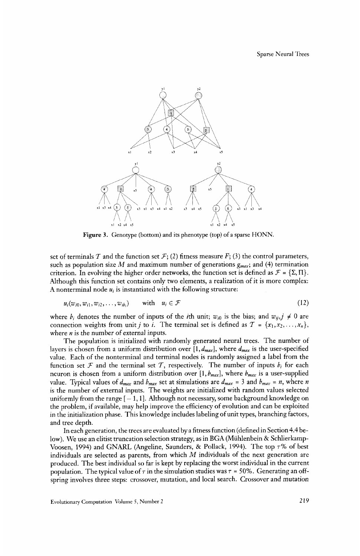

**Figure 3.** Genotype (bottom) and its phenotype (top) of a sparse HONN.

set of terminals  $T$  and the function set  $F$ ; (2) fitness measure  $F$ ; (3) the control parameters, such as population size M and maximum number of generations  $g_{max}$ ; and (4) termination criterion. In evolving the higher order networks, the function set is defined as  $\mathcal{F} = {\Sigma, \Pi}.$ Although this function set contains only two elements, a realization of it is more complex: A nonterminal node *u,* is instantiated with the following structure:

$$
u_i(w_{i0}, w_{i1}, w_{i2}, \dots, w_{ib.}) \qquad \text{with} \quad u_i \in \mathcal{F} \tag{12}
$$

where  $b_i$  denotes the number of inputs of the *i*th unit;  $w_{i0}$  is the bias; and  $w_{ij}$ ,  $j \neq 0$  are connection weights from unit *j* to *i*. The terminal set is defined as  $\mathcal{T} = \{x_1, x_2, \ldots, x_n\}$ , where *n* is the number of external inputs.

The population is initialized with randomly generated neural trees. The number of layers is chosen from a uniform distribution over  $[1, d_{max}]$ , where  $d_{max}$  is the user-specified value. Each of the nonterminal and terminal nodes is randomly assigned a label from the function set  $\mathcal F$  and the terminal set  $\mathcal T$ , respectively. The number of inputs  $b_i$  for each neuron is chosen from a uniform distribution over  $[1, b_{max}]$ , where  $b_{max}$  is a user-supplied value. Typical values of  $d_{max}$  and  $b_{max}$  set at simulations are  $d_{max} = 3$  and  $b_{max} = n$ , where *n* is the number of external inputs. The weights are initialized with random values selected uniformly from the range  $[-1, 1]$ . Although not necessary, some background knowledge on the problem, if available, may help improve the efficiency of evolution and can be exploited in the initialization phase. This knowledge includes labeling of unit types, branching factors, and tree depth.

In each generation, the trees are evaluated by a fitness function (defined in Section 4.4 below). We use an elitist truncation selection strategy, as in BGA (Mühlenbein & Schlierkamp-Voosen, 1994) and GNARL (Angeline, Saunders, & Pollack, 1994). The top *r%* of best individuals are selected as parents, from which *M* individuals of the next generation are produced. The best individual so far is kept by replacing the worst individual in the current population. The typical value of  $\tau$  in the simulation studies was  $\tau$  = 50%. Generating an offspring involves three steps: crossover, mutation, and local search. Crossover and mutation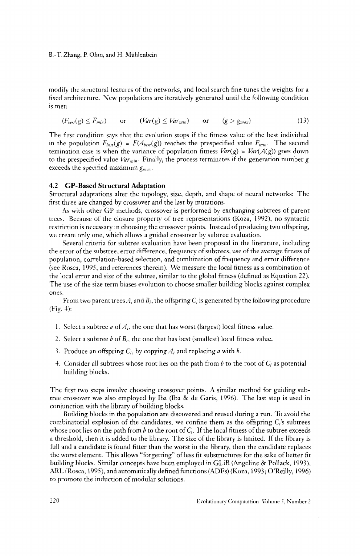modify the structural features of the networks, and local search fine tunes the weights for a fixed architecture. New populations are iteratively generated until the following condition **IS** met:

$$
(F_{best}(g) \le F_{min}) \qquad \text{or} \qquad (Var(g) \le Var_{min}) \qquad \text{or} \qquad (g > g_{max}) \tag{13}
$$

The first condition says that the evolution stops if the fitness value of the best individual in the population  $F_{best}(g) = F(A_{best}(g))$  reaches the prespecified value  $F_{min}$ . The second temination case is when the variance of population fitness  $Var(g) = Var(\mathcal{A}(g))$  goes down to the prespecified value *Var<sub>min</sub>*. Finally, the process terminates if the generation number *g* exceeds the specified maximum  $g_{max}$ .

#### **4.2 GP-Based Structural Adaptation**

Structural adaptations alter the topology, size, depth, and shape of neural networks: The first three are changed by crossover and the last by mutations.

As with other GP methods, crossover is performed by exchanging subtrees of parent trees. Because of the closure property of tree representations (Koza, 1992), no syntactic restriction is necessary in choosing the crossover points. Instead of producing two offspring, we create only one, which allows a guided crossover by subtree evaluation.

Several criteria for subtree evaluation have been proposed in the literature, including the error of the substree, error difference, frequency of subtrees, use of the average fitness of population, correlation-based selection, and combination of frequency and error difference (see Rosca, 1995, and references therein). We measure the local fitness as a combination of the local error and size of the subtree, similar to the global fitness (defined as Equation *22).*  The use of the size term biases evolution to choose smaller building blocks against complex ones.

From two parent trees  $A_i$ , and  $B_i$ , the offspring  $C_i$  is generated by the following procedure (Fig. 4):

- 1. Select a subtree  $a$  of  $A_i$ , the one that has worst (largest) local fitness value.
- *2.* Select a subtree *b* of *B,,* the one that has best (smallest) local fitness value.
- 3. Produce an offspring C,, by copying *A,* and replacing *n* with *b.*
- 4. Consider all subtrees whose root lies on the path from  $b$  to the root of  $C_i$  as potential building blocks.

The first two steps involve choosing crossover points. **A** similar method for guiding subtree crossover was also employed by Iba (Iba & de Garis, 1996). The last step is used in conjunction with the library of building blocks.

Building blocks in the population are discovered and reused during a run. To avoid the combinatorial explosion of the candidates, we confine them as the offspring  $C_i$ 's subtrees whose root lies on the path from *b* to the root of  $C_i$ . If the local fitness of the subtree exceeds a threshold, then it is added to the library. The size of the library is limited. If the library is full and a candidate is found fitter than the worst in the library, then the candidate replaces the worst element. This allows "forgetting" of less fit substructures for the sake of better fit building blocks. Similar concepts have been employed in GLiB (Angeline & Pollack, 1993), ARL (Rosca, 1995), and automatically defined functions (ADFs) (Koza, 1993; O'Reilly, 1996) to promote the induction of modular solutions.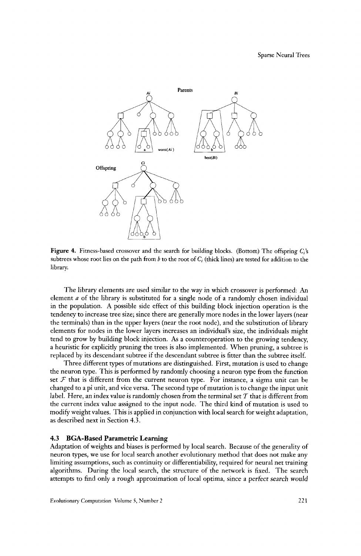

**Figure 4.** Fitness-based crossover and the search for building blocks. (Bottom) The offspring *Cj's*  subtrees whose root lies on the path from *b* to the root of *Cj* (thick lines) are tested for addition to the library.

The library elements are used similar to the way in which crossover is performed: **An**  element *a* of the library is substituted for a single node of a randomly chosen individual in the population. A possible side effect of this building block injection operation is the tendency to increase tree size; since there are generally more nodes in the lower layers (near the terminals) than in the upper layers (near the root node), and the substitution of library elements for nodes in the lower layers increases an individual's size, the individuals might tend to grow by building block injection. As a counteroperation to the growing tendency, a heuristic for explicitly pruning the trees is also implemented. When pruning, a subtree is replaced by its descendant subtree if the descendant subtree is fitter than the subtree itself.

Three different types of mutations are distinguished. First, mutation is used to change the neuron type. This is performed by randomly choosing a neuron type from the function set  $F$  that is different from the current neuron type. For instance, a sigma unit can be changed to a pi unit, and vice versa. The second type of mutation is to change the input unit label. Here, an index value is randomly chosen from the terminal set *7* that is different from the current index value assigned to the input node. The third kind of mutation is used to modify weight values. This is applied in conjunction with local search for weight adaptation, as described next in Section 4.3.

#### **4.3 BGA-Based Parametric Learning**

Adaptation of weights and biases is performed by local search. Because of the generality of neuron types, we use for local search another evolutionary method that does not make any limiting assumptions, such as continuity or differentiability, required for neural net training algorithms. During the local search, the structure of the network is fixed. The search attempts to find only a rough approximation of local optima, since a perfect search would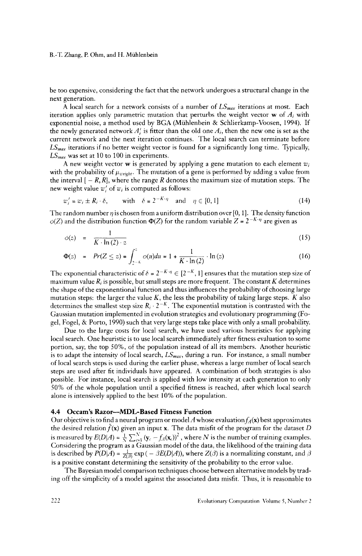#### B.-T. Zhang, **P.** Ohm, and H. Muhlenbein

be too expensive, considering the fact that the network undergoes a structural change in the next generation.

A local search for a network consists of a number of  $LS_{max}$  iterations at most. Each iteration applies only parametric mutation that perturbs the weight vector **w** of *A,* with exponential noise, a method used by **BGA** (Muhlenbein & Schlierkamp-Voosen, 1994). If the newly generated network  $A'_i$  is fitter than the old one  $A_i$ , then the new one is set as the current network and the next iteration continues. The local search can terminate before LS<sub>max</sub> iterations if no better weight vector is found for a significantly long time. Typically,  $LS_{max}$  was set at 10 to 100 in experiments.

**A** new weight vector **w** is generated by applying a gene mutation to each element *w,*  with the probability of  $\mu_{\text{weight}}$ . The mutation of a gene is performed by adding a value from the interval  $[-R, R]$ , where the range *R* denotes the maximum size of mutation steps. The new weight value  $w_i'$  of  $w_i$  is computed as follows:

$$
w'_{i} = w_{i} \pm R_{i} \cdot \delta, \qquad \text{with} \quad \delta = 2^{-K \cdot \eta} \quad \text{and} \quad \eta \in [0, 1] \tag{14}
$$

The random number *n* is chosen from a uniform distribution over [0, 1]. The density function  $\phi(Z)$  and the distribution function  $\Phi(Z)$  for the random variable  $Z = 2^{-K \cdot \eta}$  are given as

$$
\phi(z) = \frac{1}{K \cdot \ln(2) \cdot z} \tag{15}
$$

$$
\Phi(z) = Pr(Z \le z) = \int_{2^{-K}}^{z} \phi(u) du = 1 + \frac{1}{K \cdot \ln(2)} \cdot \ln(z)
$$
 (16)

The exponential characteristic of  $\delta = 2^{-K/\eta} \in [2^{-K}, 1]$  ensures that the mutation step size of maximum value  $R_i$  is possible, but small steps are more frequent. The constant  $K$  determines the shape of the exponentional function and thus influences the probability of choosing large mutation steps: the larger the value  $K$ , the less the probability of taking large steps.  $K$  also determines the smallest step size  $R_i \cdot 2^{-k}$ . The exponential mutation is contrasted with the Gaussian mutation implemented in evolution strategies and evolutionary programming (Fogel, Fogel, & Porto, 1990) such that very large steps take place with only a small probability.

Due to the large costs for local search, we have used various heuristics for applying local search. One heuristic is to use local search immediately after fitness evaluation to some portion, say, the top 50%, of the population instead of all its members. Another heuristic is to adapt the intensity of local search,  $LS_{max}$ , during a run. For instance, a small number of local search steps is used during the earlier phase, whereas a large number of local search steps are used after fit individuals have appeared. **A** combination of both strategies is also possible. For instance, local search is applied with low intensity at each generation to only 50% of the whole population until a specified fitness is reached, after which local search alone is intensively applied to the best 10% of the population.

#### **4.4 Occam's Razor-MDL-Based Fitness Function**

Our objective is to find a neural program or model A whose evaluation  $f_A(\mathbf{x})$  best approximates the desired relation  $\tilde{f}(\mathbf{x})$  given an input **x**. The data misfit of the program for the dataset *D* is measured by  $E(D|A) = \frac{1}{N} \sum_{\iota=1}^{N} (y_{\iota} - f_A(x_{\iota}))^2$ , where *N* is the number of training examples. Considering the program as a Gaussian model of the data, the likelihood of the training data is described by  $P(D|A) = \frac{1}{Z(A)} \exp(-\beta E(D|A))$ , where  $Z(\beta)$  is a normalizing constant, and  $\beta$ is a positive constant determining the sensitivity of the probability to the error value.

The Bayesian model comparison techniques choose between alternative models by trading off the simplicity of **a** model against the associated data misfit. Thus, it is reasonable to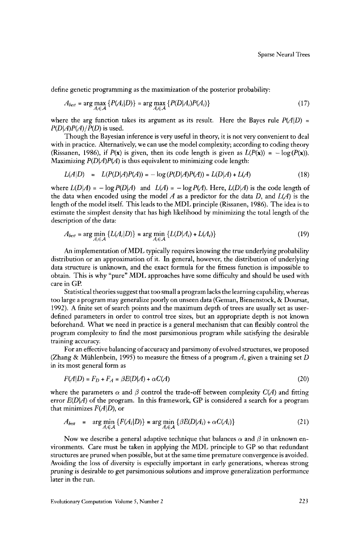define genetic programming as the maximization of the posterior probability:

$$
A_{best} = \arg \max_{A_i \in \mathcal{A}} \{ P(A_i | D) \} = \arg \max_{A_i \in \mathcal{A}} \{ P(D | A_i) P(A_i) \}
$$
(17)

where the arg function takes its argument as its result. Here the Bayes rule  $P(A|D)$  =  $P(D|A)P(A)/P(D)$  is used.

Though the Bayesian inference is very useful in theory, it is not very convenient to deal with in practice. Alternatively, we can use the model complexity; according to coding theory (Rissanen, 1986), if  $P(x)$  is given, then its code length is given as  $L(P(x)) = -\log(P(x))$ . Maximizing  $P(D|A)P(A)$  is thus equivalent to minimizing code length:

$$
L(A|D) = L(P(D|A)P(A)) = -\log(P(D|A)P(A)) = L(D|A) + L(A)
$$
\n(18)

where  $L(D|A) = -\log P(D|A)$  and  $L(A) = -\log P(A)$ . Here,  $L(D|A)$  is the code length of the data when encoded using the model *A* as a predictor for the data *D,* and *L(A)* is the length of the model itself. This leads to the MDL principle (Rissanen, 1986). The idea is to estimate the simplest density that has high likelihood by minimizing the total length of the description of the data:

$$
A_{best} = \arg\min_{A_i \in \mathcal{A}} \left\{ L(A_i|D) \right\} = \arg\min_{A_i \in \mathcal{A}} \left\{ L(D|A_i) + L(A_i) \right\}
$$
(19)

*An* implementation of MDL typically requires knowing the true underlying probability distribution or an approximation of it. In general, however, the distribution of underlying data structure is unknown, and the exact formula for the fitness function is impossible to obtain. This is why "pure" MDL approaches have some difficulty and should be used with care in GP.

Statistical theories suggest that too small a program lacks the learning capability, whereas too large a program may generalize poorly on unseen data (Geman, Bienenstock, & Doursat, 1992). A finite set of search points and the maximum depth of trees are usually set as userdefined parameters in order to control tree sizes, but an appropriate depth is not known beforehand. What we need in practice is a general mechanism that can flexibly control the program complexity to find the most parsimonious program while satisfying the desirable training accuracy.

For an effective balancing of accuracy and parsimony of evolved structures, we proposed (Zhang & Muhlenbein, 1995) to measure the fitness of a program *A,* given a training set *D*  in its most general form as

$$
F(A|D) = F_D + F_A = \beta E(D|A) + \alpha C(A)
$$
\n(20)

where the parameters  $\alpha$  and  $\beta$  control the trade-off between complexity  $C(A)$  and fitting error  $E(D|A)$  of the program. In this framework, GP is considered a search for a program that minimizes *F(AID),* or

$$
A_{best} = \arg\min_{A_i \in \mathcal{A}} \left\{ F(A_i|D) \right\} = \arg\min_{A_i \in \mathcal{A}} \left\{ \beta E(D|A_i) + \alpha C(A_i) \right\} \tag{21}
$$

Now we describe a general adaptive technique that balances  $\alpha$  and  $\beta$  in unknown environments. Care must be taken in applying the MDL principle to GP so that redundant structures are pruned when possible, but at the same time premature convergence is avoided. Avoiding the loss of diversity is especially important in early generations, whereas strong pruning is desirable to get parsimonious solutions and improve generalization performance later in the run.

Evolutionary Computation Volume 5, **Number** *2 223*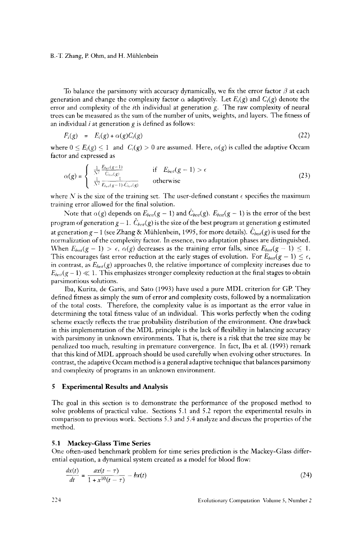B.-T. Zhang, **I!** Ohm, and H. Miihlenbein

To balance the parsimony with accuracy dynamically, we fix the error factor  $\beta$  at each generation and change the complexity factor  $\alpha$  adaptively. Let  $E_i(q)$  and  $C_i(q)$  denote the error and complexity of the *i*th individual at generation *g*. The raw complexity of neural trees can be measured as the sum of the number of units, weights, and layers. The fitness of an individual *i* at generation g is defined as follows:

$$
F_i(g) = E_i(g) + \alpha(g)C_i(g) \tag{22}
$$

where  $0 \le E_i(g) \le 1$  and  $C_i(g) > 0$  are assumed. Here,  $\alpha(g)$  is called the adaptive Occam factor and expressed as

$$
\alpha(g) = \begin{cases} \frac{1}{N^2} \frac{E_{\text{tot}}(g-1)}{C_{\text{tot}}(g)} & \text{if } E_{\text{best}}(g-1) > \epsilon \\ \frac{1}{N^2} \frac{1}{E_{\text{tot}}(g-1) \cdot C_{\text{tot}}(g)} & \text{otherwise} \end{cases}
$$
(23)

where *N* is the size of the training set. The user-defined constant  $\epsilon$  specifies the maximum training error allowed for the final solution.

Note that  $\alpha(g)$  depends on  $E_{best}(g-1)$  and  $\hat{C}_{best}(g)$ .  $E_{best}(g-1)$  is the error of the best program of generation  $g-1$ .  $\hat{C}_{best}(g)$  is the size of the best program at generation g estimated at generation  $g-1$  (see Zhang & Mühlenbein, 1995, for more details).  $\ddot{C}_{best}(g)$  is used for the normalization of the complexity factor. In essence, two adaptation phases are distinguished. When  $E_{best}(g - 1) > \epsilon$ ,  $\alpha(g)$  decreases as the training error falls, since  $E_{best}(g - 1) \leq 1$ . This encourages fast error reduction at the early stages of evolution. For  $E_{best}(g - 1) \leq \epsilon$ , in contrast, as  $E_{best}(g)$  approaches 0, the relative importance of complexity increases due to  $E_{b,rd}(g-1) \ll 1$ . This emphasizes stronger complexity reduction at the final stages to obtain parsimonious solutions.

Iba, Kurita, de Garis, and Sat0 (1993) have used a pure MDL criterion for GP. They defined fitness as simply the sum of error and complexity costs, followed by a normalization of the total costs. Therefore, the complexity value is as important as the error value in determining the total fitness value of an individual. This works perfectly when the coding scheme exactly reflects the true probability distribution of the environment. One drawback in this impiementation of the MDL principle is the lack of flexibility in balancing accuracy with parsimony in unknown environments. That is, there is a risk that the tree size may be penalized too much, resulting in premature convergence. In fact, Iba et al. (1993) remark that this kind of MDL approach should be used carefully when evolving other structures. In contrast, the adaptive Occam method is a general adaptive technique that balances parsimony and complexity of programs in an unknown environment.

#### *5* **Experimental Results and Analysis**

The goal in this section is to demonstrate the performance of the proposed method to solve problems of practical value. Sections 5.1 and 5.2 report the experimental results in comparison to previous work. Sections 5.3 and 5.4 analyze and discuss the properties of the method.

#### **5.1 Mackey-Glass Time Series**

One often-used benchmark problem for time series prediction is the Mackey-Glass differential equation, a dynamical system created as a model for blood flow:

$$
\frac{dx(t)}{dt} = \frac{ax(t-\tau)}{1+x^{10}(t-\tau)} - bx(t)
$$
\n(24)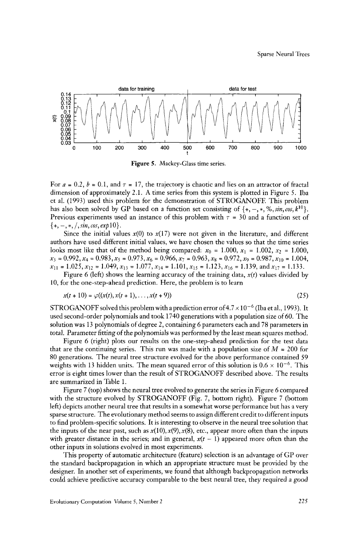

Figure *5.* Mackey-Glass time series.

For  $a = 0.2$ ,  $b = 0.1$ , and  $\tau = 17$ , the trajectory is chaotic and lies on an attractor of fractal dimension of approximately 2.1. **A** time series from this system is plotted in Figure 5. Iba et al. (1993) used this problem for the demonstration of STROGANOFE This problem has also been solved by GP based on a function set consisting of  $\{+, -, *, \%, \sin, \cos, k^{10}\}.$ Previous experiments used an instance of this problem with  $\tau = 30$  and a function set of  ${+, -, *, / ,sin, cos, exp10}.$ 

Since the initial values  $x(0)$  to  $x(17)$  were not given in the literature, and different authors have used different initial values, we have chosen the values so that the time series looks most like that of the method being compared:  $x_0 = 1.000$ ,  $x_1 = 1.002$ ,  $x_2 = 1.000$ ,  $x_3 = 0.992, x_4 = 0.983, x_5 = 0.973, x_6 = 0.966, x_7 = 0.963, x_8 = 0.972, x_9 = 0.987, x_{10} = 1.004,$  $x_{11} = 1.025, x_{12} = 1.049, x_{13} = 1.077, x_{14} = 1.101, x_{15} = 1.123, x_{16} = 1.139, \text{ and } x_{17} = 1.133.$ 

10, for the one-step-ahead prediction. Here, the problem is to learn  $x(t + 10) = \varphi((x(t), x(t + 1), \dots, x(t + 9))$ Figure 6 (left) shows the learning accuracy of the training data,  $x(t)$  values divided by

$$
x(t+10) = \varphi((x(t), x(t+1), \dots, x(t+9))
$$
\n(25)

STROGANOFF solved this problem with a prediction error of  $4.7 \times 10^{-6}$  (Iba et al., 1993). It used second-order polynomials and took 1740 generations with a population size of 60. The solution was 13 polynomials of degree 2, containing 6 parameters each and 78 parameters in total. Parameter fitting of the polynomials was performed by the least mean squares method.

Figure 6 (right) plots our results on the one-step-ahead prediction for the test data that are the continuing series. This run was made with a population size of  $M = 200$  for 80 generations. The neural tree structure evolved for the above performance contained 59 weights with 13 hidden units. The mean squared error of this solution is  $0.6 \times 10^{-6}$ . This error is eight times lower than the result of STROGANOFF described above. The results are summarized in Table 1.

Figure 7 (top) shows the neural tree evolved to generate the series in Figure 6 compared with the structure evolved by STROGANOFF (Fig. 7, bottom right). Figure 7 (bottom left) depicts another neural tree that results in a somewhat worse performance but has a very sparse structure. The evolutionary method seems to assign different credit to different inputs to find problem-specific solutions. It is interesting to observe in the neural tree solution that the inputs of the near past, such as  $x(10), x(9), x(8)$ , etc., appear more often than the inputs with greater distance in the series; and in general,  $x(t - 1)$  appeared more often than the other inputs in solutions evolved in most experiments.

This property of automatic architecture (feature) selection is an advantage of GP over the standard backpropagation in which an appropriate structure must be provided by the designer. In another set of experiments, we found that although backpropagation networks could achieve predictive accuracy comparable to the best neural tree, they required a good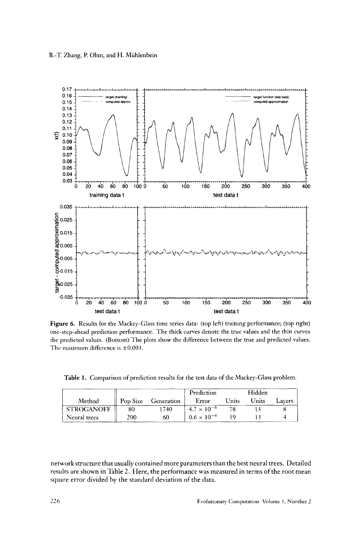

Figure 6. Results for the Mackey-Glass time series data: (top left) training performance; (top right) one-step-ahead prediction performance. The thick curves denote the true values and the thin curves the predicted values. (Bottom) The plots show the difference between the true and predicted values. The maximum difference is  $\pm 0.003$ .

Table 1. Comparison of prediction results for the test data of the Mackey-Glass problem.

|                   |          |            | Prediction            | Hidden |       |        |
|-------------------|----------|------------|-----------------------|--------|-------|--------|
| Method            | Pop Size | Generation | Error                 | Units  | Units | Lavers |
| <b>STROGANOFF</b> |          | 740        | $4.7 \times 10^{-6}$  |        |       |        |
| Neural trees      | 200      | 60         | $10.6 \times 10^{-6}$ |        |       |        |

network structure that usually contained more parameters than the best neural trees. Detailed results are shown in Table *2.* Here, the performance was measured in terms of the root mean square error divided by the standard deviation of the data.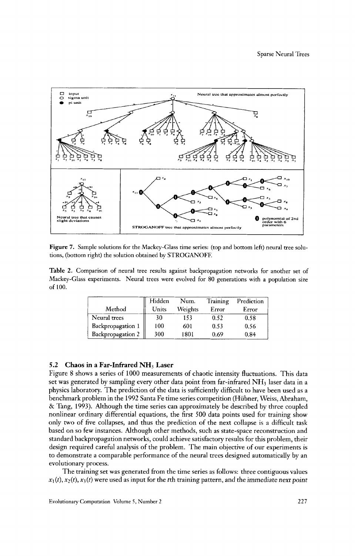

**Figure 7.** Sample solutions for the Mackey-Glass time series: (top and bottom left) neural tree solutions, (bottom right) the solution obtained by STROGANOFF.

**Table 2.** Comparison of neural tree results against backpropagation networks for another set of Mackey-Glass experiments. Neural trees were evolved for 80 generations with a population size of 100.

|                   | Hidden | Num.    | Training | Prediction |
|-------------------|--------|---------|----------|------------|
| Method            | Units  | Weights | Error    | Error      |
| Neural trees      | 30     | 153     | 0.52     | 0.58       |
| Backpropagation 1 | 100    | 601     | 0.53     | 0.56       |
| Backpropagation 2 | 300    | 1801    | 0.69     | 0.84       |

#### *5.2*  **Chaos in a Far-Infrared NH3 Laser**

Figure **8** shows a series of 1000 measurements of chaotic intensity fluctuations. This data set was generated by sampling every other data point from far-infrared  $NH_3$  laser data in a physics laboratory. The prediction of the data is sufficiently difficult to have been used as a benchmark problem in the 1992 Santa Fe time series competition (Hiibner, Weiss, Abraham, & Tang, 1993). Although the time series can approximately be described by three coupled nonlinear ordinary differential equations, the first 500 data points used for training show only *two* of five collapses, and thus the prediction of the next collapse is a difficult task based on so few instances. Although other methods, such as state-space reconstruction and standard backpropagation networks, could achieve satisfactory results for this problem, their design required careful analysis of the problem. The main objective of our experiments is to demonstrate a comparable performance of the neural trees designed automatically by an evolutionary process.

The training set was generated from the time series as follows: three contiguous values  $x_1(t)$ ,  $x_2(t)$ ,  $x_3(t)$  were used as input for the tth training pattern, and the immediate next point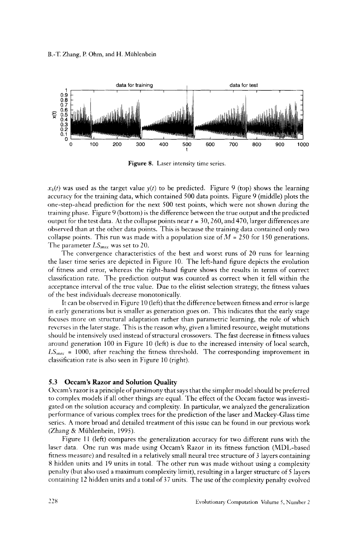#### B.-T. Zhang, P. Ohm, and H. Mühlenbein



**Figure 8.** Laser intensity time series.

 $x_+(t)$  was used as the target value  $y(t)$  to be predicted. Figure 9 (top) shows the learning accuracy for the training data, which contained SO0 data points. Figure 9 (middle) plots the one-step-ahead prediction for the next SO0 test points, which were not shown during the training phase. Figure 9 (bottom) is the difference between the true output and the predicted output for the test data. At the collapse points near *t* = 30,260, and 470, larger differences are observed than at the other data points. This is because the training data contained only two collapse points. This run was made with a population size of  $M = 250$  for 150 generations. The parameter  $LS_{max}$  was set to 20.

The convergence characteristics of the best and worst runs of 20 runs for learning the laser time series are depicted in Figure 10. The left-hand figure depicts the evolution of fitness and error, whereas the right-hand figure shows the results in terms of correct classification rate. The prediction output was counted as correct when it fell within the acceptance interval of the true value. Due to the elitist selection strategy, the fitness values of the best individuals decrease monotonically.

It can be observed in Figure 10 (left) that the difference between fitness and error is large in early generations but is smaller as generation goes on. This indicates that the early stage focuses more on structural adaptation rather than parametric learning, the role of which reverses in the later stage. This is the reason why, given a limited resource, weight mutations should be intensively used instead of structural crossovers. The fast decrease in fitness values around generation 100 in Figure 10 (left) is due to the increased intensity of local search,  $LS_{max}$  = 1000, after reaching the fitness threshold. The corresponding improvement in classification rate is also seen in Figure 10 (right).

#### **5.3 Occam's Razor and Solution Quality**

Occam's razor is a principle of parsimony that says that the simpler model should be preferred to complex models if all other things are equal. The effect of the Occam factor was investigated on the solution accuracy and complexity. In particular, we analyzed the generalization performance of various complex trees for the prediction of the laser and Mackey-Glass time series. **A** more broad and detailed treatment of this issue can be found in our previous work (Zhang *8r* Muhlenbein, 1995).

Figure I1 (left) compares the generalization accuracy for two different runs with the laser data. One run was made using Occam's Razor in its fitness function (MDL-based fitness measure) and resulted in a relatively small neural tree structure of 3 layers containing 8 hidden units and 19 units in total. The other run was made without using a complexity penalty (but also used a maximum complexity limit), resulting in a larger structure of *S* layers containing 12 hidden units and a total of 37 units. The use of the complexity penalty evolved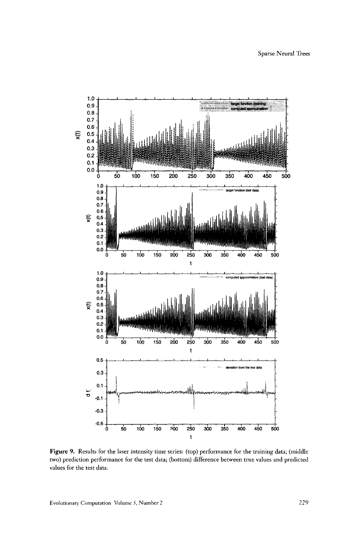

Figure 9. Results for the laser intensity time series: (top) performance for the training data; (middle two) prediction performance for the test data; (bottom) difference between true values and predicted values for the test data.

Evolutionary Computation Volume 5, Number 2 **229**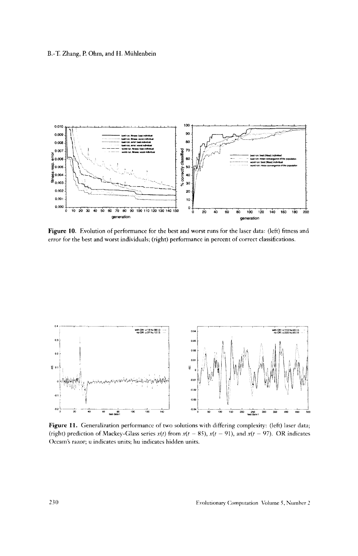#### B.-T Zhang, P. Ohm, and H. Muhlenbein



**Figure 10.** Evolution of performance for the best and worst runs for the laser data: (left) fitness and error for the best and worst individuals; (right) performance in percent of correct classifications.



**Figure 11.** Generalization performance of two solutions with differing complexity: (left) laser data; (right) prediction of Mackey-Glass series  $x(t)$  from  $x(t - 85)$ ,  $x(t - 91)$ , and  $x(t - 97)$ . OR indicates Occam's razor; **u** indicates units; hu indicates hidden units.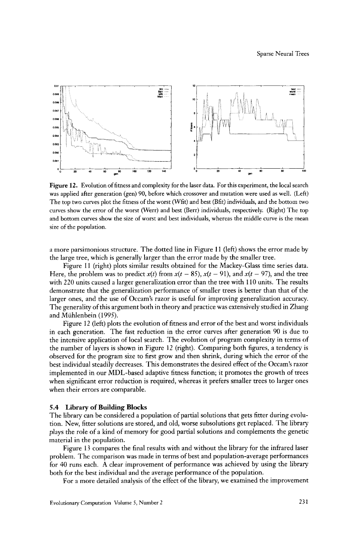

**Figure 12.** Evolution of fitness and complexity for the laser data. For this experiment, the local search was applied after generation (gen) 90, before which crossover and mutation were used as well. (Left) The top *two* curves plot the fitness of the worst (Wfit) and best (Bfit) individuals, and the bottom **two**  curves show the error of the worst (Werr) and best (Berr) individuals, respectively. (Right) The top and bottom curves show the size of worst and best individuals, whereas the middle curve is the mean size of the population.

a more parsimonious structure. The dotted line in Figure 11 (left) shows the error made by the large tree, which is generally larger than the error made by the smaller tree.

Figure 11 (right) plots similar results obtained for the Mackey-Glass time series data. Here, the problem was to predict  $x(t)$  from  $x(t - 85)$ ,  $x(t - 91)$ , and  $x(t - 97)$ , and the tree with 220 units caused a larger generalization error than the tree with 110 units. The results demonstrate that the generalization performance of smaller trees is better than that of the larger ones, and the use of Occam's razor is useful for improving generalization accuracy. The generality of this argument both in theory and practice was extensively studied in Zhang and Mühlenbein (1995).

Figure 12 (left) plots the evolution of fitness and error of the best and worst individuals in each generation. The fast reduction in the error curves after generation 90 is due to the intensive application of local search. The evolution of program complexity in terms of the number of layers is shown in Figure 12 (right). Comparing both figures, a tendency is observed for the program size to first grow and then shrink, during which the error of the best individual steadily decreases. This demonstrates the desired effect of the Occam's razor implemented in our MDL-based adaptive fitness function; it promotes the growth of trees when significant error reduction is required, whereas it prefers smaller trees to larger ones when their errors are comparable.

#### **5.4 Library of Building Blocks**

The library can be considered a population of partial solutions that gets fitter during evolution. New, fitter solutions are stored, and old, worse subsolutions get replaced. The library plays the role of a kind of memory for good partial solutions and complements the genetic material in the population.

Figure 13 compares the final results with and without the library for the infrared laser problem. The comparison was made in terms of best and population-average performances for 40 runs each. **A** clear improvement of performance was achieved by using the library both for the best individual and the average performance of the population.

For a more detailed analysis of the effect of the library, we examined the improvement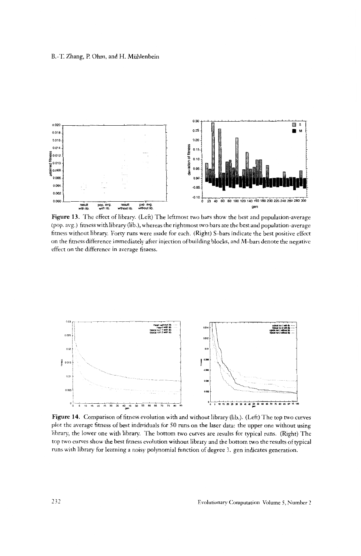#### B.-T. Zhang, P. Ohm, and H. Miihlenbein



Figure 13. The effect of library. (Left) The leftmost two bars show the best and population-average (pop. avg.) fitness with library (lib.), whereas the rightmost two bars are the best and population-average fitness without library. Forty runs were made for each. (Right) S-bars indicate the best positive effect on the fitness difference immediately after injection of building blocks, and M-bars denote the negative effect on the difference in average fitness.



**Figure 14.** Comparison of fitness evolution with and without library (lib.). (Left) The top two curves plot the average fitness of best individuals for 50 runs on the laser data: the upper one without using library, the lower one with library. The bottom two curves are results for typical runs. (Right) The top rwo curves show the best fitness evolution without library and the bottom two the results of typical runs with library for learning a noisy polynomial function of degree *3.* gen indicates generation.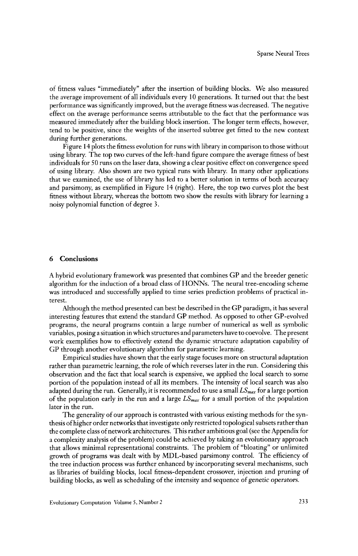of fitness values "immediately" after the insertion of building blocks. We also measured the average improvement of all individuals every 10 generations. It turned out that the best performance was significantly improved, but the average fitness was decreased. The negative effect on the average performance seems attributable to the fact that the performance was measured immediately after the building block insertion. The longer term effects, however, tend to be positive, since the weights of the inserted subtree get fitted to the new context during further generations.

Figure 14 plots the fitness evolution for runs with library in comparison to those without using library. The top two curves of the left-hand figure compare the average fitness of best individuals for 50 runs on the laser data, showing a clear positive effect on convergence speed of using library. Also shown are two typical runs with library. In many other applications that we examined, the use of library has led to a better solution in terms of both accuracy and parsimony, as exemplified in Figure 14 (right). Here, the top two curves plot the best fitness without library, whereas the bottom two show the results with library for learning a noisy polynomial function of degree **3.** 

#### **6 Conclusions**

**A** hybrid evolutionary framework was presented that combines GP and the breeder genetic algorithm for the induction of a broad class of HONNs. The neural tree-encoding scheme was introduced and successfully applied to time series prediction problems of practical interest.

Although the method presented can best be described in the GP paradigm, it has several interesting features that extend the standard GP method. As opposed to other GP-evolved programs, the neural programs contain a large number of numerical as well as symbolic variables, posing a situation in which structures and parameters have to coevolve. The present work exemplifies how to effectively extend the dynamic structure adaptation capability of GP through another evolutionary algorithm for parametric learning.

Empirical studies have shown that the early stage focuses more on structural adaptation rather than parametric learning, the role of which reverses later in the run. Considering this observation and the fact that local search is expensive, we applied the local search to some portion of the population instead of all its members. The intensity of local search was also adapted during the run. Generally, it is recommended to use a small *LSmar* for a large portion of the population early in the run and a large  $LS_{max}$  for a small portion of the population later in the run.

The generality of our approach is contrasted with various existing methods for the synthesis of higher order networks that investigate only restricted topological subsets rather than the complete class of networkarchitectures. This rather ambitious goal (see the Appendix for a complexity analysis of the problem) could be achieved by taking an evolutionary approach that allows minimal representational constraints. The problem of "bloating" or unlimited growth of programs was dealt with by MDL-based parsimony control. The efficiency of the tree induction process was further enhanced by incorporating several mechanisms, such as libraries of building blocks, local fitness-dependent crossover, injection and pruning of building blocks, as well as scheduling of the intensity and sequence of genetic *operators.*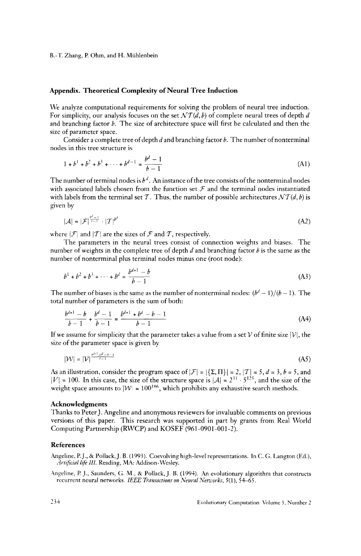B.-T. Zhang, **P.** Ohm, and H. Miihlenbein

#### **Appendix. Theoretical Complexity of Neural Tree Induction**

We analyze computational requirements for solving the problem of neural tree induction. For simplicity, our analysis focuses on the set  $\mathcal{NT}(d, b)$  of complete neural trees of depth *d* and branching factor *b.* The size of architecture space will first be calculated and then the size of parameter space.

Consider a complete tree of depth *d* and branching factor *b.* The number of nonterminal nodes in this tree structure is

$$
1 + b^{1} + b^{2} + b^{3} + \dots + b^{d-1} = \frac{b^{d} - 1}{b - 1}
$$
 (A1)

The number of terminal nodes is  $b<sup>d</sup>$ . An instance of the tree consists of the nonterminal nodes with associated labels chosen from the function set  $\mathcal F$  and the terminal nodes instantiated with labels from the terminal set T. Thus, the number of possible architectures  $\mathcal{NT}(d, b)$  is given by

$$
|\mathcal{A}| = |\mathcal{F}|^{\frac{p^t - 1}{p - 1}} \cdot |\mathcal{T}|^{p^t}
$$
 (A2)

where  $|\mathcal{F}|$  and  $|\mathcal{T}|$  are the sizes of  $\mathcal F$  and  $\mathcal T$ , respectively.

The parameters in the neural trees consist of connection weights and biases. The number of weights in the complete tree of depth  $d$  and branching factor  $b$  is the same as the number of nonterminal plus terminal nodes minus one (root node):

$$
b^1 + b^2 + b^3 + \dots + b^d = \frac{b^{d+1} - b}{b - 1}
$$
 (A3)

The number of biases is the same as the number of nonterminal nodes:  $(b^d-1)/(b-1)$ . The total number of parameters is the sum of both:

$$
\frac{b^{d+1} - b}{b - 1} + \frac{b^d - 1}{b - 1} = \frac{b^{d+1} + b^d - b - 1}{b - 1}
$$
 (A4)

If we assume for simplicity that the parameter takes a value from a set  $\mathcal V$  of finite size  $|\mathcal V|$ , the size of the parameter space is given by

$$
|\mathcal{W}| = |\mathcal{V}|^{\frac{p^{d-1} + p^d - h - 1}{h - 1}}
$$
 (A5)

As an illustration, consider the program space of  $|\mathcal{F}| = |\{\Sigma, \Pi\}| = 2$ ,  $|T| = 5$ ,  $d = 3$ ,  $b = 5$ , and  $|V| = 100$ . In this case, the size of the structure space is  $|A| = 2^{31} \cdot 5^{125}$ , and the size of the weight space amounts to  $|W| = 100^{186}$ , which prohibits any exhaustive search methods.

#### **Acknowledgments**

Thanks to Peter J. Angeline and anonymous reviewers for invaluable comments on previous versions of this paper. This research was supported in part by grants from Real World Computing Partnership (RWCP) and KOSEF (961 -0901-001-2).

#### **References**

Angeline, P. J., & Pollack, J. B. (1993). Coevolving high-level representations. In C. G. Langton (Ed.), *.4rtzfirul llfe III.* Reading, MA: Addison-Wesley.

Angeline, P. J., Saunders, G. M., & Pollack, J. B. (1994). An evolutionary algorithm that constructs recurrent neural networks. *IEEE Transactions on Neural Networks*,  $5(1)$ ,  $54-65$ .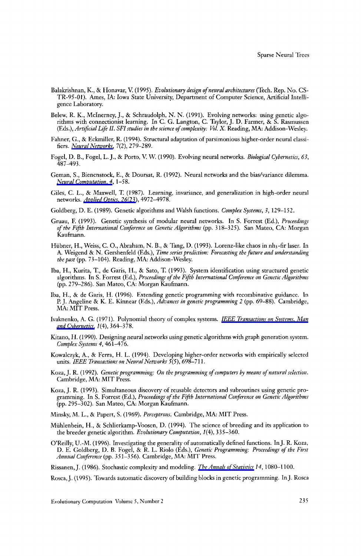- Balakrishnan, K., & Honavar, V. (1995). *Evolutionary design ofneural architectures* (Tech. Rep. No. CS-TR-95-01). Ames, IA: Iowa State University, Department of Computer Science, Artificial Intelligence Laboratory.
- Belew, R. K., McInerney, J., & Schraudolph, N. N. (1991). Evolving networks: using genetic algorithms with connectionist learning. In C. **G.** Langton, C. Taylor, J. D. Farmer, & S. Rasmussen (Eds.), *Artificial Life II. SFI studies in the science of complexity: Vol. X. Reading, MA: Addison-Wesley.*
- Fahner, G., & Eckmiller, R. (1994). Structural adaptation of parsimonious higher-order neural classifiers. *Neural Networks,* 7(2), 279-289.
- Fogel, D. B., Fogel, L. J., & Porto, V. W. (1990). Evolving neural networks. *Biological Cybernetics,* 6?, 487493.
- Geman, S., Bienenstock, E., & Doursat, R. (1992). Neural networks and the bias/variance dilemma. *Neural Computation, 4,* 1-58.
- Giles, C. L., & Maxwell, T. (1987). Learning, invariance, and generalization in high-order neural networks. *Applied Optics*, 26(23), 4972-4978.
- Goldberg, D. E. (1989). Genetic algorithms and Walsh functions. *Complex Systems, 3,* 129-152.
- Gruau, F. (1993). Genetic synthesis of modular neural networks. In S. Forrest (Ed.), *Proceedings*  of *the Fijih International Conference on Genetic Algorithms* (pp. 3 18-32 5). San Mateo, CA: Morgan Kaufmann.
- Hiibner, H., Weiss, C. O., Abraham, N. B., & Tang, D. (1993). Lorenz-like chaos in nhj-fir laser. In A. Weigend & N. Gershenfeld (Eds.), *Time series prediction: Forecasting the fiture and understanding the past* (pp. 73-104). Reading, MA: Addison-Wesley.
- Iba, H., Kurita, T., de Garis, H., & Sato, T (1993). System identification using structured genetic algorithms. In *S.* Forrest (Ed.), *Proceedings* of *the Fifh International Conference on Genetic Algorithms*  (pp. 279-286). San Mateo, CA: Morgan Kaufmann.
- Iba, H., & de Garis, H. (1996). Extending genetic programming with recombinative guidance. In P. J. Angeline & K. E. Kinnear (Eds.), *Advances in genetic programming 2* (pp. 69-88). Cambridge, MA: MIT Press.
- Ivaknenko, **A.** G. (1971). Polynomial theory of complex systems. *IEEE Transactions on Systems, Man and Cybernetics,* 1(4), 364-378.
- Kitano, H. (1 990). Designing neural networks using genetic algorithms with graph generation system. *Complex Systems 4,* 461-476.
- Kowalczyk, **A.,** & Ferra, H. L. (1994). Developing higher-order networks with empirically selected units. *IEEE Transactions on Neural Networks* 5(5), 698-711.
- Koza, J. R. (1 992). *Genetic programming: On the programming of computers by means* of *natural selection.*  Cambridge, MA: MIT Press.
- Koza, J. R. (1993). Simultaneous discovery of reusable detectors and subroutines using genetic programming. In s. Forrest (Ed.), *Proceedings* of *the Fzfh International Conference on Genetic Algorithms*  (pp. 295-302). San Mateo, CA: Morgan Kaufmann.
- Minsky, M. L., & Papert, S. (1969). *Perceptrons.* Cambridge, MA: MIT Press.
- Miihlenbein, H., & Schlierkamp-Voosen, D. (1994). The science of breeding and its application to the breeder genetic algorithm. *Evolutionary Computation*, 1(4), 335-360.
- O'Reilly, U.-M. (1996). Investigating the generality of automatically defined functions. In J. R. Koza, D. E. Goldberg, D. B. Fogel, & R. L. Riolo (Eds.), *Genetic Programming: Proceedings ofthe First Annual Confrence* (pp. 351-356). Cambridge, MA: MIT Press.

Rissanen, J. (1986). Stochastic complexity and modeling. *The Annals* of *Statistics 14,* 1080-1 100.

Rosca, J. (1995). Towards automatic discovery of building blocks in genetic programming. In J. Rosa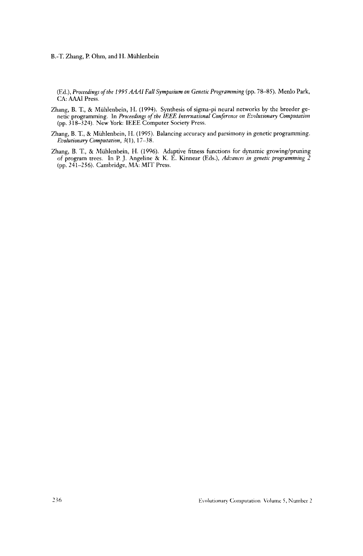B.-T. Zhang, **P.** Ohm, and H. Muhlenbein

(Ed.), *Proceedings* of *the 1995 MI Fall Symposium on Genetic Programming* (pp. 78-85). Menlo Park, CA: *AAAI* Press.

- Zhang, B. T., & Miihlenbein, **Ii.** (1994). Synthesis of sigma-pi neural networks by the breeder genetic programming. In *Proceedings* of *the IEEE lntemational Confwence on Evolutionary Computation*  (pp. **3** 18-324). New **York:** IEEE Computer Sociery Press.
- Zhang, B. T., & Miihlenbein, H. (1995). Balancing accuracy and parsimony in genetic programming. *Evolutionary Computation, 3(* l), 17-38.
- Zhang, B. T., & Miihlenbein, H. (1996). Adaptive fitness functions for dynamic growing/pruning of program trees. In P. J. Angeline & **K.** E. Kinnear (Eds.), *Advances in genetic programming 2*  (pp. 241-256). Cambridge, MA: MIT Press.